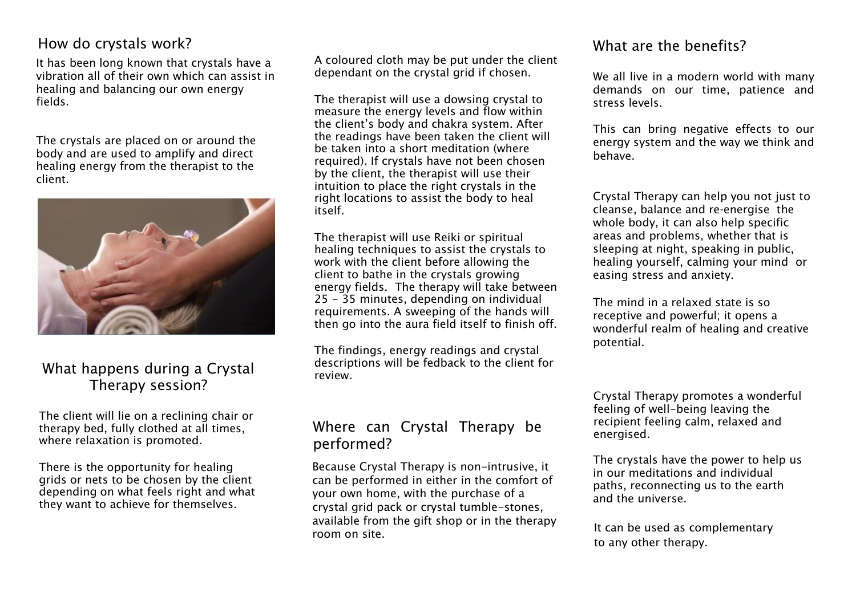#### How do crystals work?

It has been long known that crystals have a vibration all of their own which can assist in healing and balancing our own energy fields.

The crystals are placed on or around the body and are used to amplify and direct healing energy from the therapist to the client.



### What happens during a Crystal Therapy session?

The client will lie on a reclining chair or therapy bed, fully clothed at all times, where relaxation is promoted.

There is the opportunity for healing grids or nets to be chosen by the client depending on what feels right and what they want to achieve for themselves.

A coloured cloth may be put under the client dependant on the crystal grid if chosen.

The therapist will use a dowsing crystal to measure the energy levels and flow within the client's body and chakra system. After the readings have been taken the client will be taken into a short meditation (where required). If crystals have not been chosen by the client, the therapist will use their intuition to place the right crystals in the right locations to assist the body to heal itself.

The therapist will use Reiki or spiritual healing techniques to assist the crystals to work with the client before allowing the client to bathe in the crystals growing energy fields. The therapy will take between 25 - 35 minutes, depending on individual requirements. A sweeping of the hands will then go into the aura field itself to finish off.

The findings, energy readings and crystal descriptions will be fedback to the client for review.

#### Where can Crystal Therapy be performed?

Because Crystal Therapy is non-intrusive, it can be performed in either in the comfort of your own home, with the purchase of a crystal grid pack or crystal tumble-stones, available from the gift shop or in the therapy room on site.

#### What are the benefits?

We all live in a modern world with many demands on our time, patience and stress levels.

This can bring negative effects to our energy system and the way we think and behave.

Crystal Therapy can help you not just to cleanse, balance and re-energise the whole body, it can also help specific areas and problems, whether that is sleeping at night, speaking in public, healing yourself, calming your mind or easing stress and anxiety.

The mind in a relaxed state is so receptive and powerful; it opens a wonderful realm of healing and creative potential.

Crystal Therapy promotes a wonderful feeling of well-being leaving the recipient feeling calm, relaxed and energised.

The crystals have the power to help us in our meditations and individual paths, reconnecting us to the earth and the universe.

It can be used as complementary to any other therapy.